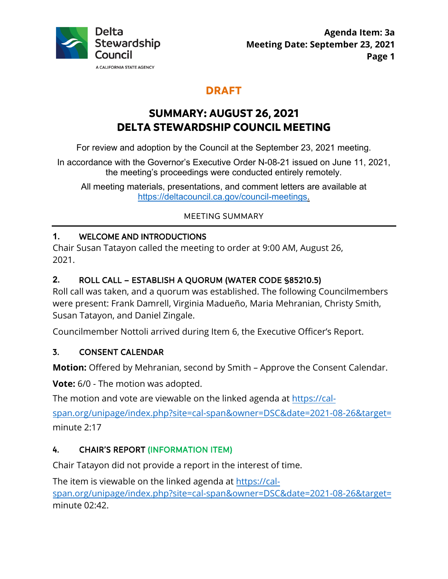

# **DRAFT**

# **SUMMARY: AUGUST 26, 2021 DELTA STEWARDSHIP COUNCIL MEETING**

For review and adoption by the Council at the September 23, 2021 meeting.

In accordance with the Governor's Executive Order N-08-21 issued on June 11, 2021, the meeting's proceedings were conducted entirely remotely.

All meeting materials, presentations, and comment letters are available at [https://deltacouncil.ca.gov/council-meetings.](https://deltacouncil.ca.gov/council-meetings)

## MEETING SUMMARY

## **1.** WELCOME AND INTRODUCTIONS

Chair Susan Tatayon called the meeting to order at 9:00 AM, August 26, 2021.

## **2.** ROLL CALL – ESTABLISH A QUORUM (WATER CODE §85210.5)

Roll call was taken, and a quorum was established. The following Councilmembers were present: Frank Damrell, Virginia Madueño, Maria Mehranian, Christy Smith, Susan Tatayon, and Daniel Zingale.

Councilmember Nottoli arrived during Item 6, the Executive Officer's Report.

## 3. CONSENT CALENDAR

**Motion:** Offered by Mehranian, second by Smith – Approve the Consent Calendar.

**Vote:** 6/0 - The motion was adopted.

The motion and vote are viewable on the linked agenda at [https://cal-](https://cal-span.org/unipage/index.php?site=cal-span&owner=DSC&date=2021-08-26&target=)

[span.org/unipage/index.php?site=cal-span&owner=DSC&date=2021-08-26&target=](https://cal-span.org/unipage/index.php?site=cal-span&owner=DSC&date=2021-08-26&target=) minute 2:17

## 4. CHAIR'S REPORT (INFORMATION ITEM)

Chair Tatayon did not provide a report in the interest of time.

The item is viewable on the linked agenda at [https://cal](https://cal-span.org/unipage/index.php?site=cal-span&owner=DSC&date=2021-08-26&target=)[span.org/unipage/index.php?site=cal-span&owner=DSC&date=2021-08-26&target=](https://cal-span.org/unipage/index.php?site=cal-span&owner=DSC&date=2021-08-26&target=)

minute 02:42.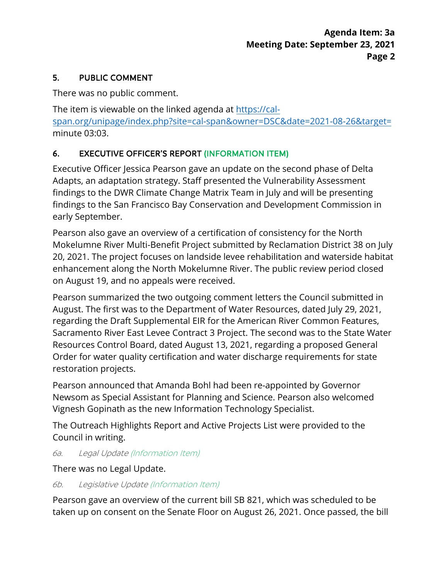## 5. PUBLIC COMMENT

There was no public comment.

The item is viewable on the linked agenda at [https://cal](https://cal-span.org/unipage/index.php?site=cal-span&owner=DSC&date=2021-08-26&target=)[span.org/unipage/index.php?site=cal-span&owner=DSC&date=2021-08-26&target=](https://cal-span.org/unipage/index.php?site=cal-span&owner=DSC&date=2021-08-26&target=) minute 03:03.

# 6. EXECUTIVE OFFICER'S REPORT (INFORMATION ITEM)

Executive Officer Jessica Pearson gave an update on the second phase of Delta Adapts, an adaptation strategy. Staff presented the Vulnerability Assessment findings to the DWR Climate Change Matrix Team in July and will be presenting findings to the San Francisco Bay Conservation and Development Commission in early September.

Pearson also gave an overview of a certification of consistency for the North Mokelumne River Multi-Benefit Project submitted by Reclamation District 38 on July 20, 2021. The project focuses on landside levee rehabilitation and waterside habitat enhancement along the North Mokelumne River. The public review period closed on August 19, and no appeals were received.

Pearson summarized the two outgoing comment letters the Council submitted in August. The first was to the Department of Water Resources, dated July 29, 2021, regarding the Draft Supplemental EIR for the American River Common Features, Sacramento River East Levee Contract 3 Project. The second was to the State Water Resources Control Board, dated August 13, 2021, regarding a proposed General Order for water quality certification and water discharge requirements for state restoration projects.

Pearson announced that Amanda Bohl had been re-appointed by Governor Newsom as Special Assistant for Planning and Science. Pearson also welcomed Vignesh Gopinath as the new Information Technology Specialist.

The Outreach Highlights Report and Active Projects List were provided to the Council in writing.

6a. Legal Update (Information Item)

There was no Legal Update.

# 6b. Legislative Update (Information Item)

Pearson gave an overview of the current bill SB 821, which was scheduled to be taken up on consent on the Senate Floor on August 26, 2021. Once passed, the bill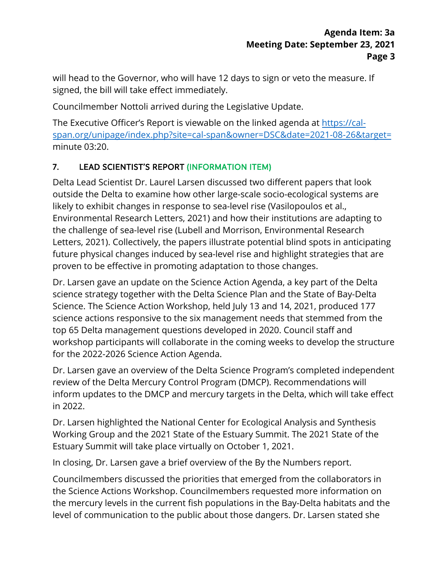will head to the Governor, who will have 12 days to sign or veto the measure. If signed, the bill will take effect immediately.

Councilmember Nottoli arrived during the Legislative Update.

The Executive Officer's Report is viewable on the linked agenda at [https://cal](https://cal-span.org/unipage/index.php?site=cal-span&owner=DSC&date=2021-08-26&target=)[span.org/unipage/index.php?site=cal-span&owner=DSC&date=2021-08-26&target=](https://cal-span.org/unipage/index.php?site=cal-span&owner=DSC&date=2021-08-26&target=) minute 03:20.

# 7. LEAD SCIENTIST'S REPORT (INFORMATION ITEM)

Delta Lead Scientist Dr. Laurel Larsen discussed two different papers that look outside the Delta to examine how other large-scale socio-ecological systems are likely to exhibit changes in response to sea-level rise (Vasilopoulos et al., Environmental Research Letters, 2021) and how their institutions are adapting to the challenge of sea-level rise (Lubell and Morrison, Environmental Research Letters, 2021). Collectively, the papers illustrate potential blind spots in anticipating future physical changes induced by sea-level rise and highlight strategies that are proven to be effective in promoting adaptation to those changes.

Dr. Larsen gave an update on the Science Action Agenda, a key part of the Delta science strategy together with the Delta Science Plan and the State of Bay-Delta Science. The Science Action Workshop, held July 13 and 14, 2021, produced 177 science actions responsive to the six management needs that stemmed from the top 65 Delta management questions developed in 2020. Council staff and workshop participants will collaborate in the coming weeks to develop the structure for the 2022-2026 Science Action Agenda.

Dr. Larsen gave an overview of the Delta Science Program's completed independent review of the Delta Mercury Control Program (DMCP). Recommendations will inform updates to the DMCP and mercury targets in the Delta, which will take effect in 2022.

Dr. Larsen highlighted the National Center for Ecological Analysis and Synthesis Working Group and the 2021 State of the Estuary Summit. The 2021 State of the Estuary Summit will take place virtually on October 1, 2021.

In closing, Dr. Larsen gave a brief overview of the By the Numbers report.

Councilmembers discussed the priorities that emerged from the collaborators in the Science Actions Workshop. Councilmembers requested more information on the mercury levels in the current fish populations in the Bay-Delta habitats and the level of communication to the public about those dangers. Dr. Larsen stated she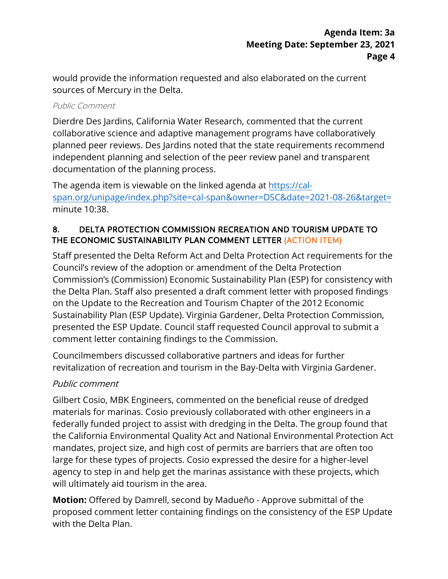would provide the information requested and also elaborated on the current sources of Mercury in the Delta.

#### Public Comment

Dierdre Des Jardins, California Water Research, commented that the current collaborative science and adaptive management programs have collaboratively planned peer reviews. Des Jardins noted that the state requirements recommend independent planning and selection of the peer review panel and transparent documentation of the planning process.

The agenda item is viewable on the linked agenda at [https://cal](https://cal-span.org/unipage/index.php?site=cal-span&owner=DSC&date=2021-08-26&target=)[span.org/unipage/index.php?site=cal-span&owner=DSC&date=2021-08-26&target=](https://cal-span.org/unipage/index.php?site=cal-span&owner=DSC&date=2021-08-26&target=) minute 10:38.

## 8. DELTA PROTECTION COMMISSION RECREATION AND TOURISM UPDATE TO THE ECONOMIC SUSTAINABILITY PLAN COMMENT LETTER (ACTION ITEM)

Staff presented the Delta Reform Act and Delta Protection Act requirements for the Council's review of the adoption or amendment of the Delta Protection Commission's (Commission) Economic Sustainability Plan (ESP) for consistency with the Delta Plan. Staff also presented a draft comment letter with proposed findings on the Update to the Recreation and Tourism Chapter of the 2012 Economic Sustainability Plan (ESP Update). Virginia Gardener, Delta Protection Commission, presented the ESP Update. Council staff requested Council approval to submit a comment letter containing findings to the Commission.

Councilmembers discussed collaborative partners and ideas for further revitalization of recreation and tourism in the Bay-Delta with Virginia Gardener.

# Public comment

Gilbert Cosio, MBK Engineers, commented on the beneficial reuse of dredged materials for marinas. Cosio previously collaborated with other engineers in a federally funded project to assist with dredging in the Delta. The group found that the California Environmental Quality Act and National Environmental Protection Act mandates, project size, and high cost of permits are barriers that are often too large for these types of projects. Cosio expressed the desire for a higher-level agency to step in and help get the marinas assistance with these projects, which will ultimately aid tourism in the area.

**Motion:** Offered by Damrell, second by Madueño - Approve submittal of the proposed comment letter containing findings on the consistency of the ESP Update with the Delta Plan.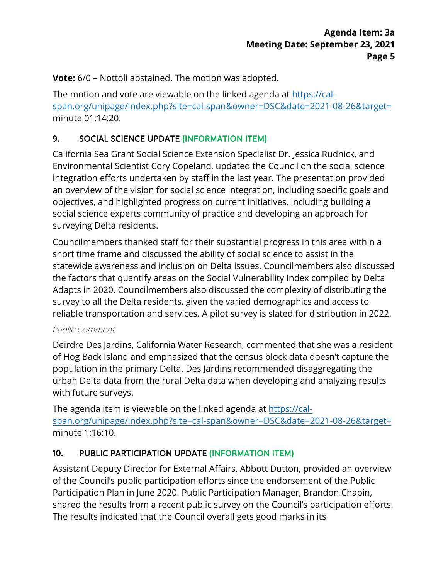**Vote:** 6/0 – Nottoli abstained. The motion was adopted.

The motion and vote are viewable on the linked agenda at [https://cal](https://cal-span.org/unipage/index.php?site=cal-span&owner=DSC&date=2021-08-26&target=)[span.org/unipage/index.php?site=cal-span&owner=DSC&date=2021-08-26&target=](https://cal-span.org/unipage/index.php?site=cal-span&owner=DSC&date=2021-08-26&target=) minute 01:14:20.

# 9. SOCIAL SCIENCE UPDATE (INFORMATION ITEM)

California Sea Grant Social Science Extension Specialist Dr. Jessica Rudnick, and Environmental Scientist Cory Copeland, updated the Council on the social science integration efforts undertaken by staff in the last year. The presentation provided an overview of the vision for social science integration, including specific goals and objectives, and highlighted progress on current initiatives, including building a social science experts community of practice and developing an approach for surveying Delta residents.

Councilmembers thanked staff for their substantial progress in this area within a short time frame and discussed the ability of social science to assist in the statewide awareness and inclusion on Delta issues. Councilmembers also discussed the factors that quantify areas on the Social Vulnerability Index compiled by Delta Adapts in 2020. Councilmembers also discussed the complexity of distributing the survey to all the Delta residents, given the varied demographics and access to reliable transportation and services. A pilot survey is slated for distribution in 2022.

#### Public Comment

Deirdre Des Jardins, California Water Research, commented that she was a resident of Hog Back Island and emphasized that the census block data doesn't capture the population in the primary Delta. Des Jardins recommended disaggregating the urban Delta data from the rural Delta data when developing and analyzing results with future surveys.

The agenda item is viewable on the linked agenda at [https://cal](https://cal-span.org/unipage/index.php?site=cal-span&owner=DSC&date=2021-08-26&target=)[span.org/unipage/index.php?site=cal-span&owner=DSC&date=2021-08-26&target=](https://cal-span.org/unipage/index.php?site=cal-span&owner=DSC&date=2021-08-26&target=) minute 1:16:10.

# 10. PUBLIC PARTICIPATION UPDATE (INFORMATION ITEM)

Assistant Deputy Director for External Affairs, Abbott Dutton, provided an overview of the Council's public participation efforts since the endorsement of the Public Participation Plan in June 2020. Public Participation Manager, Brandon Chapin, shared the results from a recent public survey on the Council's participation efforts. The results indicated that the Council overall gets good marks in its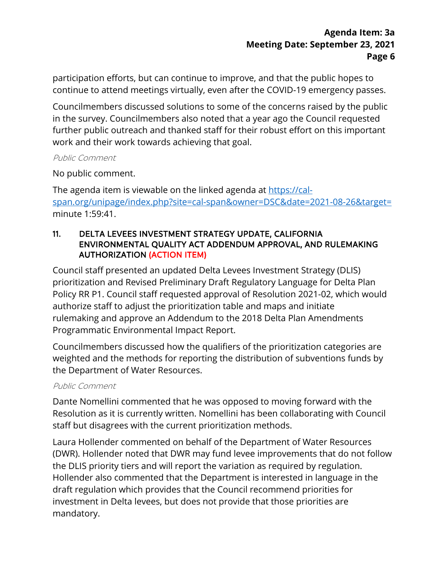participation efforts, but can continue to improve, and that the public hopes to continue to attend meetings virtually, even after the COVID-19 emergency passes.

Councilmembers discussed solutions to some of the concerns raised by the public in the survey. Councilmembers also noted that a year ago the Council requested further public outreach and thanked staff for their robust effort on this important work and their work towards achieving that goal.

#### Public Comment

No public comment.

The agenda item is viewable on the linked agenda at [https://cal](https://cal-span.org/unipage/index.php?site=cal-span&owner=DSC&date=2021-08-26&target=)[span.org/unipage/index.php?site=cal-span&owner=DSC&date=2021-08-26&target=](https://cal-span.org/unipage/index.php?site=cal-span&owner=DSC&date=2021-08-26&target=) minute 1:59:41.

#### 11. DELTA LEVEES INVESTMENT STRATEGY UPDATE, CALIFORNIA ENVIRONMENTAL QUALITY ACT ADDENDUM APPROVAL, AND RULEMAKING AUTHORIZATION (ACTION ITEM)

Council staff presented an updated Delta Levees Investment Strategy (DLIS) prioritization and Revised Preliminary Draft Regulatory Language for Delta Plan Policy RR P1. Council staff requested approval of Resolution 2021-02, which would authorize staff to adjust the prioritization table and maps and initiate rulemaking and approve an Addendum to the 2018 Delta Plan Amendments Programmatic Environmental Impact Report.

Councilmembers discussed how the qualifiers of the prioritization categories are weighted and the methods for reporting the distribution of subventions funds by the Department of Water Resources.

#### Public Comment

Dante Nomellini commented that he was opposed to moving forward with the Resolution as it is currently written. Nomellini has been collaborating with Council staff but disagrees with the current prioritization methods.

Laura Hollender commented on behalf of the Department of Water Resources (DWR). Hollender noted that DWR may fund levee improvements that do not follow the DLIS priority tiers and will report the variation as required by regulation. Hollender also commented that the Department is interested in language in the draft regulation which provides that the Council recommend priorities for investment in Delta levees, but does not provide that those priorities are mandatory.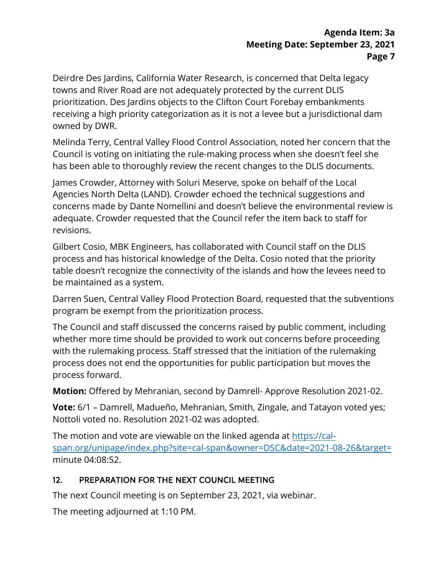Deirdre Des Jardins, California Water Research, is concerned that Delta legacy towns and River Road are not adequately protected by the current DLIS prioritization. Des Jardins objects to the Clifton Court Forebay embankments receiving a high priority categorization as it is not a levee but a jurisdictional dam owned by DWR.

Melinda Terry, Central Valley Flood Control Association, noted her concern that the Council is voting on initiating the rule-making process when she doesn't feel she has been able to thoroughly review the recent changes to the DLIS documents.

James Crowder, Attorney with Soluri Meserve, spoke on behalf of the Local Agencies North Delta (LAND). Crowder echoed the technical suggestions and concerns made by Dante Nomellini and doesn't believe the environmental review is adequate. Crowder requested that the Council refer the item back to staff for revisions.

Gilbert Cosio, MBK Engineers, has collaborated with Council staff on the DLIS process and has historical knowledge of the Delta. Cosio noted that the priority table doesn't recognize the connectivity of the islands and how the levees need to be maintained as a system.

Darren Suen, Central Valley Flood Protection Board, requested that the subventions program be exempt from the prioritization process.

The Council and staff discussed the concerns raised by public comment, including whether more time should be provided to work out concerns before proceeding with the rulemaking process. Staff stressed that the initiation of the rulemaking process does not end the opportunities for public participation but moves the process forward.

**Motion:** Offered by Mehranian, second by Damrell- Approve Resolution 2021-02.

**Vote:** 6/1 – Damrell, Madueño, Mehranian, Smith, Zingale, and Tatayon voted yes; Nottoli voted no. Resolution 2021-02 was adopted.

The motion and vote are viewable on the linked agenda at [https://cal](https://cal-span.org/unipage/index.php?site=cal-span&owner=DSC&date=2021-08-26&target=)[span.org/unipage/index.php?site=cal-span&owner=DSC&date=2021-08-26&target=](https://cal-span.org/unipage/index.php?site=cal-span&owner=DSC&date=2021-08-26&target=) minute 04:08:52.

## 12. PREPARATION FOR THE NEXT COUNCIL MEETING

The next Council meeting is on September 23, 2021, via webinar.

The meeting adjourned at 1:10 PM.